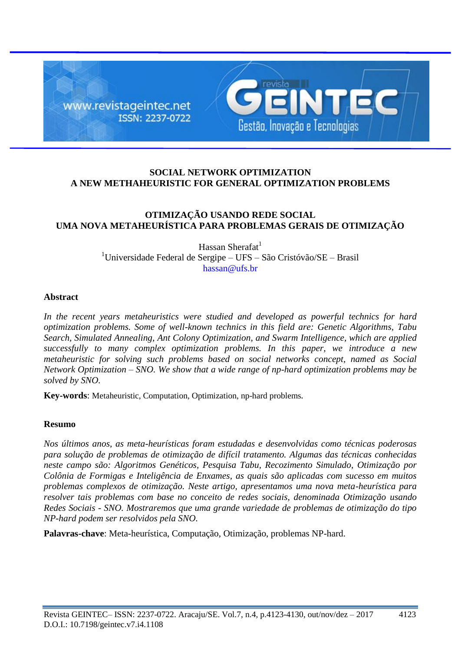

# **SOCIAL NETWORK OPTIMIZATION A NEW METHAHEURISTIC FOR GENERAL OPTIMIZATION PROBLEMS**

# **OTIMIZAÇÃO USANDO REDE SOCIAL UMA NOVA METAHEURÍSTICA PARA PROBLEMAS GERAIS DE OTIMIZAÇÃO**

Hassan Sherafat<sup>1</sup> <sup>1</sup>Universidade Federal de Sergipe – UFS – São Cristóvão/SE – Brasil [hassan@ufs.br](mailto:hassan@ufs.br)

### **Abstract**

*In the recent years metaheuristics were studied and developed as powerful technics for hard optimization problems. Some of well-known technics in this field are: Genetic Algorithms, Tabu Search, Simulated Annealing, Ant Colony Optimization, and Swarm Intelligence, which are applied successfully to many complex optimization problems. In this paper, we introduce a new metaheuristic for solving such problems based on social networks concept, named as Social Network Optimization – SNO. We show that a wide range of np-hard optimization problems may be solved by SNO.*

**Key-words**: Metaheuristic, Computation, Optimization, np-hard problems*.*

## **Resumo**

*Nos últimos anos, as meta-heurísticas foram estudadas e desenvolvidas como técnicas poderosas para solução de problemas de otimização de difícil tratamento. Algumas das técnicas conhecidas neste campo são: Algoritmos Genéticos, Pesquisa Tabu, Recozimento Simulado, Otimização por Colônia de Formigas e Inteligência de Enxames, as quais são aplicadas com sucesso em muitos problemas complexos de otimização. Neste artigo, apresentamos uma nova meta-heurística para resolver tais problemas com base no conceito de redes sociais, denominada Otimização usando Redes Sociais - SNO. Mostraremos que uma grande variedade de problemas de otimização do tipo NP-hard podem ser resolvidos pela SNO.*

**Palavras-chave**: Meta-heurística, Computação, Otimização, problemas NP-hard.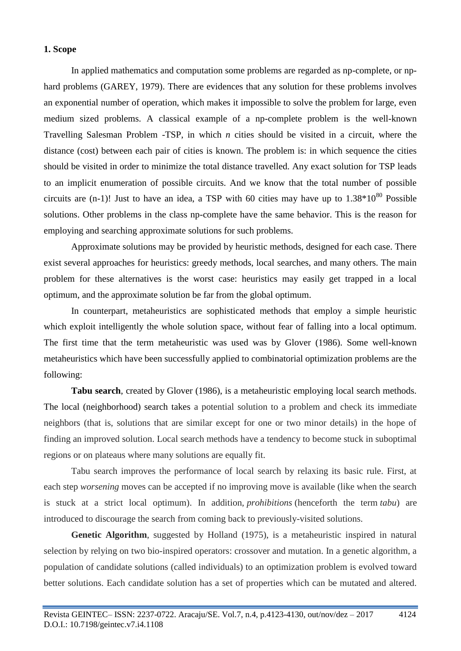### **1. Scope**

In applied mathematics and computation some problems are regarded as np-complete, or nphard problems (GAREY, 1979). There are evidences that any solution for these problems involves an exponential number of operation, which makes it impossible to solve the problem for large, even medium sized problems. A classical example of a np-complete problem is the well-known Travelling Salesman Problem -TSP, in which *n* cities should be visited in a circuit, where the distance (cost) between each pair of cities is known. The problem is: in which sequence the cities should be visited in order to minimize the total distance travelled. Any exact solution for TSP leads to an implicit enumeration of possible circuits. And we know that the total number of possible circuits are  $(n-1)!$  Just to have an idea, a TSP with 60 cities may have up to  $1.38*10^{80}$  Possible solutions. Other problems in the class np-complete have the same behavior. This is the reason for employing and searching approximate solutions for such problems.

Approximate solutions may be provided by heuristic methods, designed for each case. There exist several approaches for heuristics: greedy methods, local searches, and many others. The main problem for these alternatives is the worst case: heuristics may easily get trapped in a local optimum, and the approximate solution be far from the global optimum.

In counterpart, metaheuristics are sophisticated methods that employ a simple heuristic which exploit intelligently the whole solution space, without fear of falling into a local optimum. The first time that the term metaheuristic was used was by Glover (1986). Some well-known metaheuristics which have been successfully applied to combinatorial optimization problems are the following:

**Tabu search**, created by Glover (1986), is a metaheuristic employing local search methods. The local (neighborhood) search takes a potential solution to a problem and check its immediate neighbors (that is, solutions that are similar except for one or two minor details) in the hope of finding an improved solution. Local search methods have a tendency to become stuck in suboptimal regions or on plateaus where many solutions are equally fit.

Tabu search improves the performance of local search by relaxing its basic rule. First, at each step *worsening* moves can be accepted if no improving move is available (like when the search is stuck at a strict local optimum). In addition, *prohibitions* (henceforth the term *tabu*) are introduced to discourage the search from coming back to previously-visited solutions.

**Genetic Algorithm**, suggested by Holland (1975), is a metaheuristic inspired in natural selection by relying on two bio-inspired operators: crossover and mutation. In a genetic algorithm, a population of candidate solutions (called individuals) to an optimization problem is evolved toward better solutions. Each candidate solution has a set of properties which can be mutated and altered.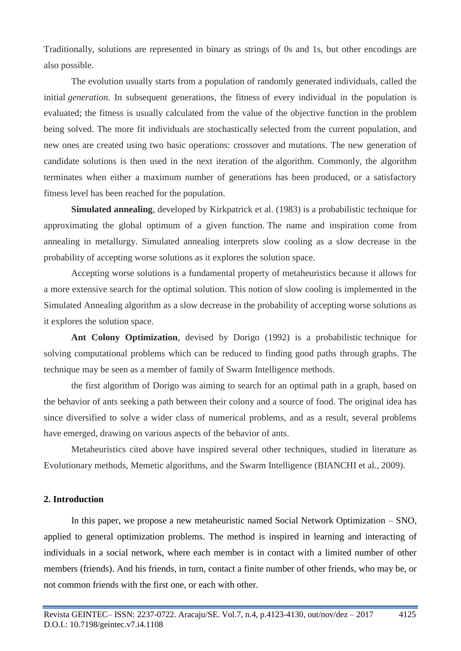Traditionally, solutions are represented in binary as strings of 0s and 1s, but other encodings are also possible.

The evolution usually starts from a population of randomly generated individuals, called the initial *generation*. In subsequent generations, the fitness of every individual in the population is evaluated; the fitness is usually calculated from the value of the objective function in the problem being solved. The more fit individuals are stochastically selected from the current population, and new ones are created using two basic operations: crossover and mutations. The new generation of candidate solutions is then used in the next iteration of the algorithm. Commonly, the algorithm terminates when either a maximum number of generations has been produced, or a satisfactory fitness level has been reached for the population.

**Simulated annealing**, developed by Kirkpatrick et al. (1983) is a probabilistic technique for approximating the global optimum of a given function. The name and inspiration come from annealing in metallurgy. Simulated annealing interprets slow cooling as a slow decrease in the probability of accepting worse solutions as it explores the solution space.

Accepting worse solutions is a fundamental property of metaheuristics because it allows for a more extensive search for the optimal solution. This notion of slow cooling is implemented in the Simulated Annealing algorithm as a slow decrease in the probability of accepting worse solutions as it explores the solution space.

**Ant Colony Optimization**, devised by Dorigo (1992) is a probabilistic technique for solving computational problems which can be reduced to finding good paths through graphs. The technique may be seen as a member of family of Swarm Intelligence methods.

the first algorithm of Dorigo was aiming to search for an optimal path in a graph, based on the behavior of ants seeking a path between their colony and a source of food. The original idea has since diversified to solve a wider class of numerical problems, and as a result, several problems have emerged, drawing on various aspects of the behavior of ants.

Metaheuristics cited above have inspired several other techniques, studied in literature as Evolutionary methods, Memetic algorithms, and the Swarm Intelligence (BIANCHI et al., 2009).

### **2. Introduction**

In this paper, we propose a new metaheuristic named Social Network Optimization – SNO, applied to general optimization problems. The method is inspired in learning and interacting of individuals in a social network, where each member is in contact with a limited number of other members (friends). And his friends, in turn, contact a finite number of other friends, who may be, or not common friends with the first one, or each with other.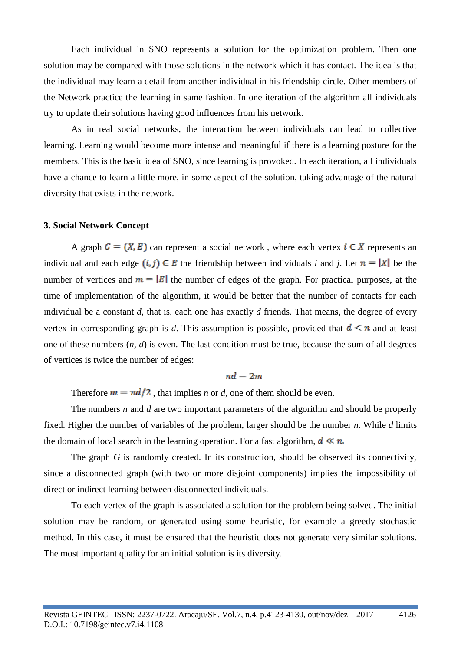Each individual in SNO represents a solution for the optimization problem. Then one solution may be compared with those solutions in the network which it has contact. The idea is that the individual may learn a detail from another individual in his friendship circle. Other members of the Network practice the learning in same fashion. In one iteration of the algorithm all individuals try to update their solutions having good influences from his network.

As in real social networks, the interaction between individuals can lead to collective learning. Learning would become more intense and meaningful if there is a learning posture for the members. This is the basic idea of SNO, since learning is provoked. In each iteration, all individuals have a chance to learn a little more, in some aspect of the solution, taking advantage of the natural diversity that exists in the network.

#### **3. Social Network Concept**

A graph  $G = (X, E)$  can represent a social network, where each vertex  $i \in X$  represents an individual and each edge  $(i, j) \in E$  the friendship between individuals *i* and *j*. Let  $n = |X|$  be the number of vertices and  $m = |E|$  the number of edges of the graph. For practical purposes, at the time of implementation of the algorithm, it would be better that the number of contacts for each individual be a constant *d*, that is, each one has exactly *d* friends. That means, the degree of every vertex in corresponding graph is *d*. This assumption is possible, provided that  $d \le n$  and at least one of these numbers (*n*, *d*) is even. The last condition must be true, because the sum of all degrees of vertices is twice the number of edges:

$$
nd=2m
$$

Therefore  $m = nd/2$ , that implies *n* or *d*, one of them should be even.

The numbers *n* and *d* are two important parameters of the algorithm and should be properly fixed. Higher the number of variables of the problem, larger should be the number *n*. While *d* limits the domain of local search in the learning operation. For a fast algorithm,  $d \ll n$ .

The graph *G* is randomly created. In its construction, should be observed its connectivity, since a disconnected graph (with two or more disjoint components) implies the impossibility of direct or indirect learning between disconnected individuals.

To each vertex of the graph is associated a solution for the problem being solved. The initial solution may be random, or generated using some heuristic, for example a greedy stochastic method. In this case, it must be ensured that the heuristic does not generate very similar solutions. The most important quality for an initial solution is its diversity.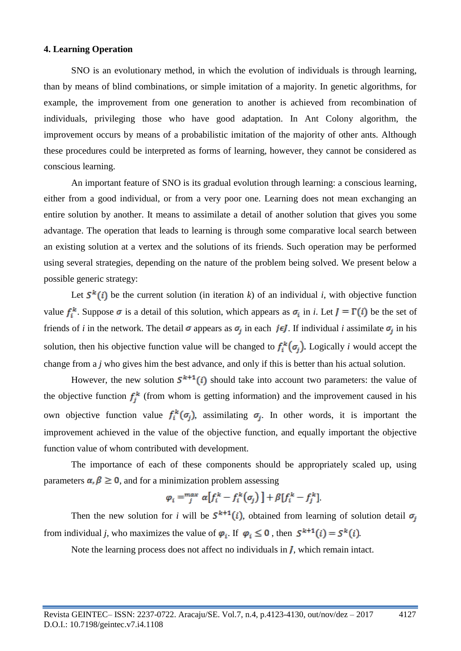#### **4. Learning Operation**

SNO is an evolutionary method, in which the evolution of individuals is through learning, than by means of blind combinations, or simple imitation of a majority. In genetic algorithms, for example, the improvement from one generation to another is achieved from recombination of individuals, privileging those who have good adaptation. In Ant Colony algorithm, the improvement occurs by means of a probabilistic imitation of the majority of other ants. Although these procedures could be interpreted as forms of learning, however, they cannot be considered as conscious learning.

An important feature of SNO is its gradual evolution through learning: a conscious learning, either from a good individual, or from a very poor one. Learning does not mean exchanging an entire solution by another. It means to assimilate a detail of another solution that gives you some advantage. The operation that leads to learning is through some comparative local search between an existing solution at a vertex and the solutions of its friends. Such operation may be performed using several strategies, depending on the nature of the problem being solved. We present below a possible generic strategy:

Let  $S^k(i)$  be the current solution (in iteration *k*) of an individual *i*, with objective function value  $f_i^k$ . Suppose  $\sigma$  is a detail of this solution, which appears as  $\sigma_i$  in *i*. Let  $J = \Gamma(i)$  be the set of friends of *i* in the network. The detail  $\sigma$  appears as  $\sigma_j$  in each jeJ. If individual *i* assimilate  $\sigma_j$  in his solution, then his objective function value will be changed to  $f_i^k(\sigma_j)$ . Logically *i* would accept the change from a *j* who gives him the best advance, and only if this is better than his actual solution.

However, the new solution  $S^{k+1}(i)$  should take into account two parameters: the value of the objective function  $f_j^k$  (from whom is getting information) and the improvement caused in his own objective function value  $f_i^k(\sigma_j)$ , assimilating  $\sigma_j$ . In other words, it is important the improvement achieved in the value of the objective function, and equally important the objective function value of whom contributed with development.

The importance of each of these components should be appropriately scaled up, using parameters  $\alpha$ ,  $\beta \ge 0$ , and for a minimization problem assessing

$$
\varphi_i = \int_j^{max} \alpha \left[ f_i^k - f_i^k(\sigma_j) \right] + \beta \left[ f_i^k - f_j^k \right]
$$

Then the new solution for *i* will be  $S^{k+1}(i)$ , obtained from learning of solution detail  $\sigma_i$ from individual *j*, who maximizes the value of  $\varphi_i$ . If  $\varphi_i \leq 0$ , then  $S^{k+1}(i) = S^k(i)$ .

Note the learning process does not affect no individuals in *, which remain intact.*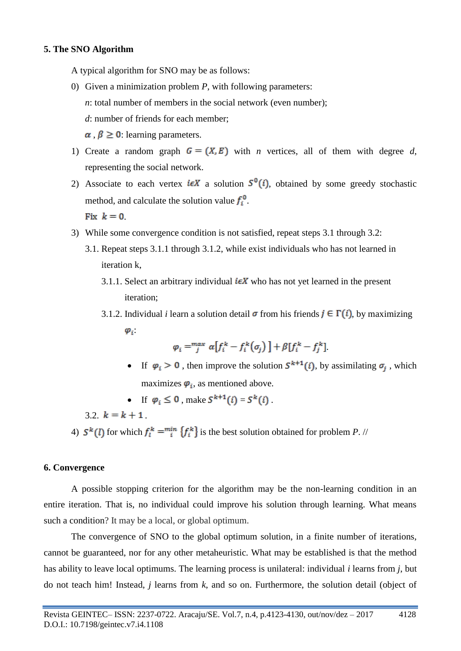### **5. The SNO Algorithm**

A typical algorithm for SNO may be as follows:

- 0) Given a minimization problem *P*, with following parameters: *n*: total number of members in the social network (even number); *d*: number of friends for each member;  $\alpha, \beta \ge 0$  learning parameters.
- 1) Create a random graph  $G = (X, E)$  with *n* vertices, all of them with degree *d*, representing the social network.
- 2) Associate to each vertex  $i \in X$  a solution  $S^0(i)$ , obtained by some greedy stochastic method, and calculate the solution value  $f_i^0$ . Fix  $k = 0$
- 3) While some convergence condition is not satisfied, repeat steps 3.1 through 3.2:
	- 3.1. Repeat steps 3.1.1 through 3.1.2, while exist individuals who has not learned in iteration k,
		- 3.1.1. Select an arbitrary individual  $i \in X$  who has not yet learned in the present iteration;
		- 3.1.2. Individual *i* learn a solution detail  $\sigma$  from his friends  $j \in \Gamma(i)$ , by maximizing  $\varphi_i$

$$
\varphi_i = \int_j^{max} \alpha \big[ f_i^k - f_i^k \big( \sigma_j \big) \big] + \beta \big[ f_i^k - f_j^k \big]
$$

- If  $\varphi_i > 0$ , then improve the solution  $S^{k+1}(i)$ , by assimilating  $\sigma_j$ , which maximizes  $\boldsymbol{\varphi}_i$ , as mentioned above.
- If  $\varphi_i \leq 0$ , make  $S^{k+1}(i) = S^k(i)$ .

3.2.  $k = k + 1$ 

4)  $S^k(l)$  for which  $f^k_l = \min_i \{f^k_i\}$  is the best solution obtained for problem *P*. //

### **6. Convergence**

A possible stopping criterion for the algorithm may be the non-learning condition in an entire iteration. That is, no individual could improve his solution through learning. What means such a condition? It may be a local, or global optimum.

The convergence of SNO to the global optimum solution, in a finite number of iterations, cannot be guaranteed, nor for any other metaheuristic. What may be established is that the method has ability to leave local optimums. The learning process is unilateral: individual *i* learns from *j*, but do not teach him! Instead, *j* learns from *k*, and so on. Furthermore, the solution detail (object of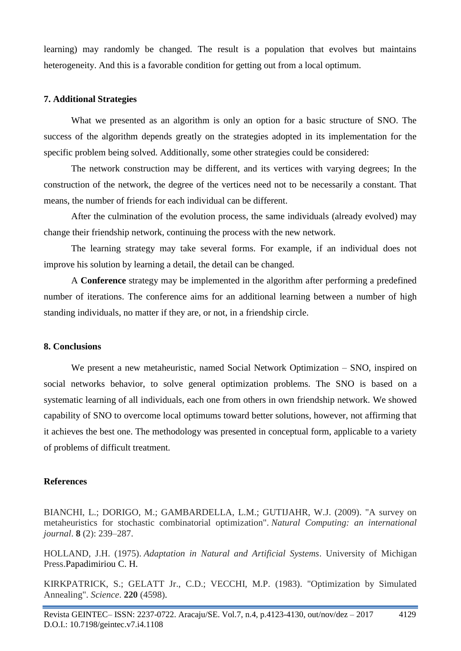learning) may randomly be changed. The result is a population that evolves but maintains heterogeneity. And this is a favorable condition for getting out from a local optimum.

## **7. Additional Strategies**

What we presented as an algorithm is only an option for a basic structure of SNO. The success of the algorithm depends greatly on the strategies adopted in its implementation for the specific problem being solved. Additionally, some other strategies could be considered:

The network construction may be different, and its vertices with varying degrees; In the construction of the network, the degree of the vertices need not to be necessarily a constant. That means, the number of friends for each individual can be different.

After the culmination of the evolution process, the same individuals (already evolved) may change their friendship network, continuing the process with the new network.

The learning strategy may take several forms. For example, if an individual does not improve his solution by learning a detail, the detail can be changed.

A **Conference** strategy may be implemented in the algorithm after performing a predefined number of iterations. The conference aims for an additional learning between a number of high standing individuals, no matter if they are, or not, in a friendship circle.

## **8. Conclusions**

We present a new metaheuristic, named Social Network Optimization – SNO, inspired on social networks behavior, to solve general optimization problems. The SNO is based on a systematic learning of all individuals, each one from others in own friendship network. We showed capability of SNO to overcome local optimums toward better solutions, however, not affirming that it achieves the best one. The methodology was presented in conceptual form, applicable to a variety of problems of difficult treatment.

## **References**

BIANCHI, L.; DORIGO, M.; GAMBARDELLA, L.M.; GUTIJAHR, W.J. (2009). "A survey on metaheuristics for stochastic combinatorial optimization". *Natural Computing: an international journal*. **8** (2): 239–287.

HOLLAND, J.H. (1975). *Adaptation in Natural and Artificial Systems*. University of Michigan Press.Papadimiriou C. H.

KIRKPATRICK, S.; GELATT Jr., C.D.; VECCHI, M.P. (1983). "Optimization by Simulated Annealing". *Science*. **220** (4598).